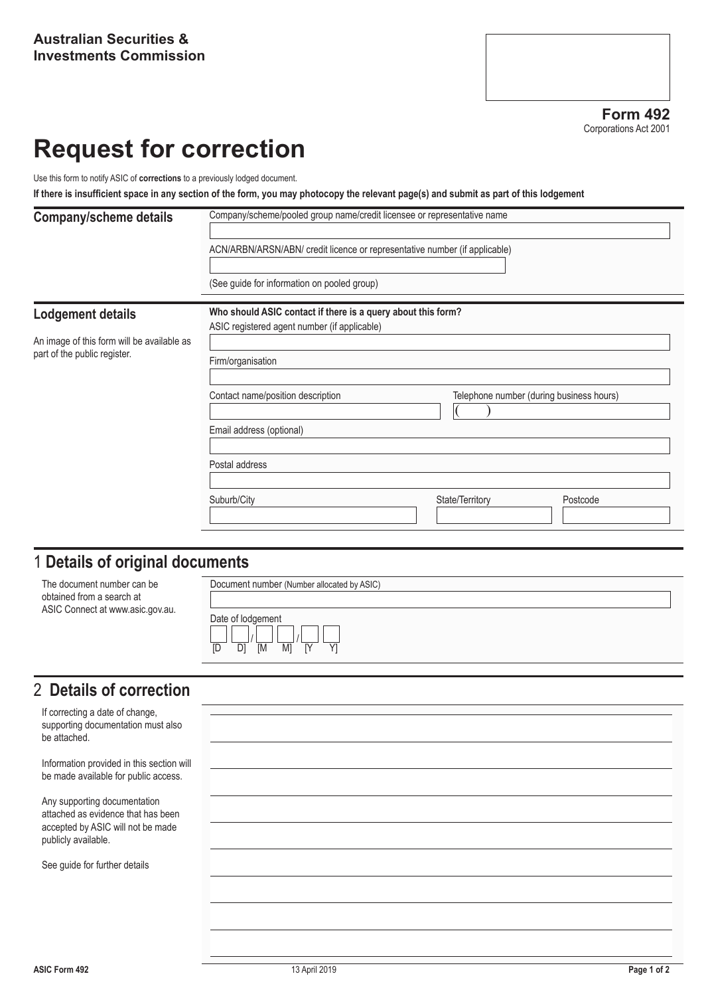**Form 492** Corporations Act 2001

# **Request for correction**

Use this form to notify ASIC of **corrections** to a previously lodged document.

**If there is insufficient space in any section of the form, you may photocopy the relevant page(s) and submit as part of this lodgement**

| <b>Company/scheme details</b>              | Company/scheme/pooled group name/credit licensee or representative name       |  |  |  |  |
|--------------------------------------------|-------------------------------------------------------------------------------|--|--|--|--|
|                                            | ACN/ARBN/ARSN/ABN/ credit licence or representative number (if applicable)    |  |  |  |  |
|                                            | (See guide for information on pooled group)                                   |  |  |  |  |
| <b>Lodgement details</b>                   | Who should ASIC contact if there is a query about this form?                  |  |  |  |  |
|                                            | ASIC registered agent number (if applicable)                                  |  |  |  |  |
| An image of this form will be available as |                                                                               |  |  |  |  |
| part of the public register.               | Firm/organisation                                                             |  |  |  |  |
|                                            |                                                                               |  |  |  |  |
|                                            | Telephone number (during business hours)<br>Contact name/position description |  |  |  |  |
|                                            | Email address (optional)                                                      |  |  |  |  |
|                                            | Postal address                                                                |  |  |  |  |
|                                            | Suburb/City<br>State/Territory<br>Postcode                                    |  |  |  |  |
|                                            |                                                                               |  |  |  |  |

## 1 **Details of original documents**

| The document number can be<br>obtained from a search at<br>ASIC Connect at www.asic.gov.au. | Document number (Number allocated by ASIC)             |
|---------------------------------------------------------------------------------------------|--------------------------------------------------------|
|                                                                                             | Date of lodgement<br><b>IM</b><br>M1<br>ΓY<br>D1<br>ID |

## 2 **Details of correction**

If correcting a date of change, supporting documentation must also be attached.

Information provided in this section will be made available for public access.

Any supporting documentation attached as evidence that has been accepted by ASIC will not be made publicly available.

See guide for further details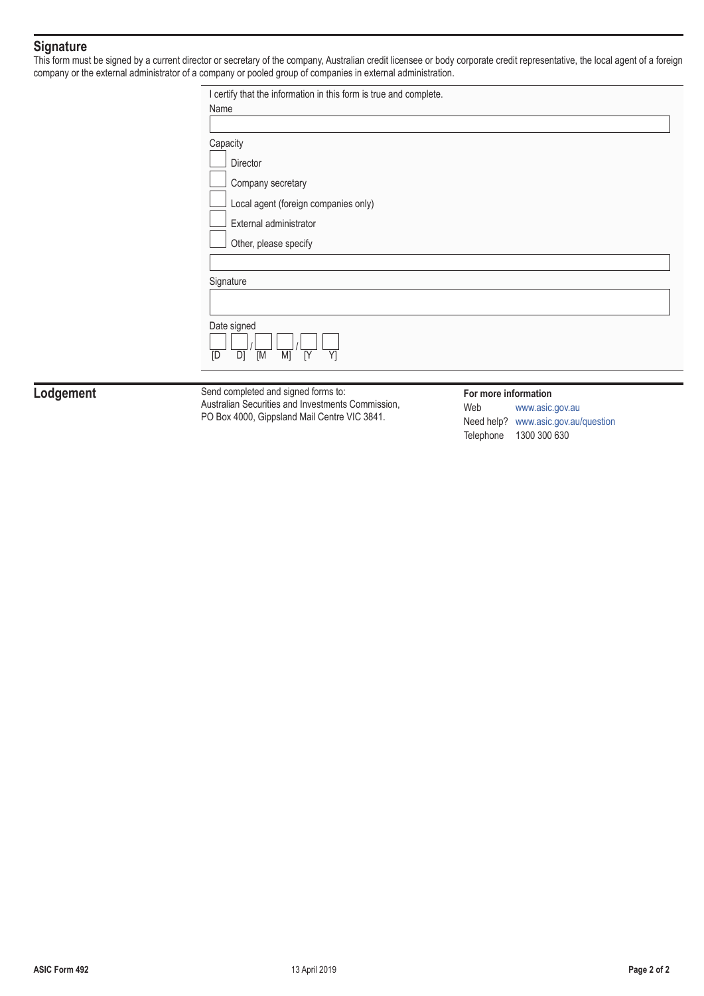### **Signature**

This form must be signed by a current director or secretary of the company, Australian credit licensee or body corporate credit representative, the local agent of a foreign company or the external administrator of a company or pooled group of companies in external administration.

| I certify that the information in this form is true and complete. |  |  |  |  |
|-------------------------------------------------------------------|--|--|--|--|
| Name                                                              |  |  |  |  |
|                                                                   |  |  |  |  |
| Capacity                                                          |  |  |  |  |
| Director                                                          |  |  |  |  |
| Company secretary                                                 |  |  |  |  |
| Local agent (foreign companies only)                              |  |  |  |  |
| External administrator                                            |  |  |  |  |
| Other, please specify                                             |  |  |  |  |
|                                                                   |  |  |  |  |
| Signature                                                         |  |  |  |  |
|                                                                   |  |  |  |  |
| Date signed<br>$\overline{M}$<br>D]<br>M]<br>[Y<br>Y1<br>ΙD       |  |  |  |  |
|                                                                   |  |  |  |  |

Lodgement Send completed and signed forms to: Australian Securities and Investments Commission, PO Box 4000, Gippsland Mail Centre VIC 3841.

#### **For more information**

Web [www.asic.gov.au](http://www.asic.gov.au) Need help? [www.asic.gov.au/question](http://www.asic.gov.au/question) Telephone 1300 300 630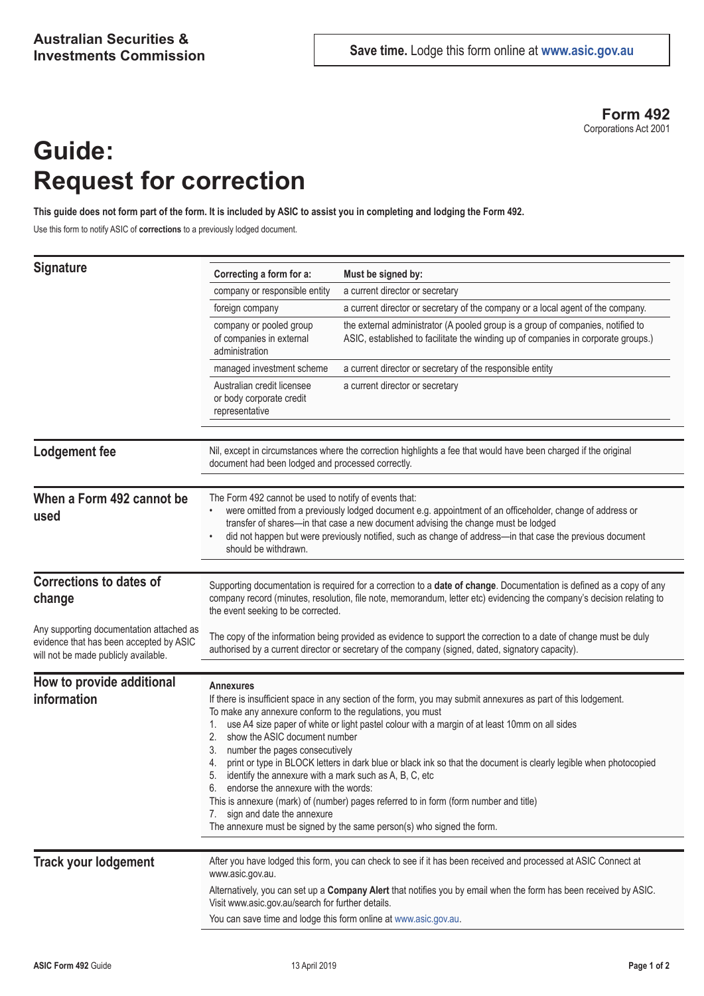**Form 492** Corporations Act 2001

# **Guide: Request for correction**

**This guide does not form part of the form. It is included by ASIC to assist you in completing and lodging the Form 492.**

Use this form to notify ASIC of **corrections** to a previously lodged document.

| <b>Signature</b>                                                                                                            | Correcting a form for a:                                                                                                                                                                                                                                                                                                                                                                                                                                                                                                                                                                                                                                                                                                                                                                                                           | Must be signed by:                                                                                                                                                   |  |
|-----------------------------------------------------------------------------------------------------------------------------|------------------------------------------------------------------------------------------------------------------------------------------------------------------------------------------------------------------------------------------------------------------------------------------------------------------------------------------------------------------------------------------------------------------------------------------------------------------------------------------------------------------------------------------------------------------------------------------------------------------------------------------------------------------------------------------------------------------------------------------------------------------------------------------------------------------------------------|----------------------------------------------------------------------------------------------------------------------------------------------------------------------|--|
|                                                                                                                             | company or responsible entity                                                                                                                                                                                                                                                                                                                                                                                                                                                                                                                                                                                                                                                                                                                                                                                                      | a current director or secretary                                                                                                                                      |  |
|                                                                                                                             | foreign company                                                                                                                                                                                                                                                                                                                                                                                                                                                                                                                                                                                                                                                                                                                                                                                                                    | a current director or secretary of the company or a local agent of the company.                                                                                      |  |
|                                                                                                                             | company or pooled group<br>of companies in external<br>administration                                                                                                                                                                                                                                                                                                                                                                                                                                                                                                                                                                                                                                                                                                                                                              | the external administrator (A pooled group is a group of companies, notified to<br>ASIC, established to facilitate the winding up of companies in corporate groups.) |  |
|                                                                                                                             | managed investment scheme                                                                                                                                                                                                                                                                                                                                                                                                                                                                                                                                                                                                                                                                                                                                                                                                          | a current director or secretary of the responsible entity                                                                                                            |  |
|                                                                                                                             | Australian credit licensee<br>or body corporate credit<br>representative                                                                                                                                                                                                                                                                                                                                                                                                                                                                                                                                                                                                                                                                                                                                                           | a current director or secretary                                                                                                                                      |  |
| <b>Lodgement fee</b>                                                                                                        | Nil, except in circumstances where the correction highlights a fee that would have been charged if the original<br>document had been lodged and processed correctly.                                                                                                                                                                                                                                                                                                                                                                                                                                                                                                                                                                                                                                                               |                                                                                                                                                                      |  |
| When a Form 492 cannot be<br>used                                                                                           | The Form 492 cannot be used to notify of events that:<br>were omitted from a previously lodged document e.g. appointment of an officeholder, change of address or<br>transfer of shares-in that case a new document advising the change must be lodged<br>did not happen but were previously notified, such as change of address-in that case the previous document<br>should be withdrawn.                                                                                                                                                                                                                                                                                                                                                                                                                                        |                                                                                                                                                                      |  |
| <b>Corrections to dates of</b>                                                                                              |                                                                                                                                                                                                                                                                                                                                                                                                                                                                                                                                                                                                                                                                                                                                                                                                                                    |                                                                                                                                                                      |  |
| change                                                                                                                      | Supporting documentation is required for a correction to a date of change. Documentation is defined as a copy of any<br>company record (minutes, resolution, file note, memorandum, letter etc) evidencing the company's decision relating to<br>the event seeking to be corrected.                                                                                                                                                                                                                                                                                                                                                                                                                                                                                                                                                |                                                                                                                                                                      |  |
| Any supporting documentation attached as<br>evidence that has been accepted by ASIC<br>will not be made publicly available. | The copy of the information being provided as evidence to support the correction to a date of change must be duly<br>authorised by a current director or secretary of the company (signed, dated, signatory capacity).                                                                                                                                                                                                                                                                                                                                                                                                                                                                                                                                                                                                             |                                                                                                                                                                      |  |
|                                                                                                                             |                                                                                                                                                                                                                                                                                                                                                                                                                                                                                                                                                                                                                                                                                                                                                                                                                                    |                                                                                                                                                                      |  |
| How to provide additional<br>information                                                                                    | <b>Annexures</b><br>If there is insufficient space in any section of the form, you may submit annexures as part of this lodgement.<br>To make any annexure conform to the regulations, you must<br>use A4 size paper of white or light pastel colour with a margin of at least 10mm on all sides<br>1.<br>show the ASIC document number<br>2.<br>number the pages consecutively<br>3.<br>print or type in BLOCK letters in dark blue or black ink so that the document is clearly legible when photocopied<br>4.<br>identify the annexure with a mark such as A, B, C, etc<br>5.<br>endorse the annexure with the words:<br>ნ.<br>This is annexure (mark) of (number) pages referred to in form (form number and title)<br>7. sign and date the annexure<br>The annexure must be signed by the same person(s) who signed the form. |                                                                                                                                                                      |  |
|                                                                                                                             |                                                                                                                                                                                                                                                                                                                                                                                                                                                                                                                                                                                                                                                                                                                                                                                                                                    |                                                                                                                                                                      |  |
| <b>Track your lodgement</b>                                                                                                 | After you have lodged this form, you can check to see if it has been received and processed at ASIC Connect at<br>www.asic.gov.au.<br>Alternatively, you can set up a Company Alert that notifies you by email when the form has been received by ASIC.<br>Visit www.asic.gov.au/search for further details.<br>You can save time and lodge this form online at www.asic.gov.au.                                                                                                                                                                                                                                                                                                                                                                                                                                                   |                                                                                                                                                                      |  |